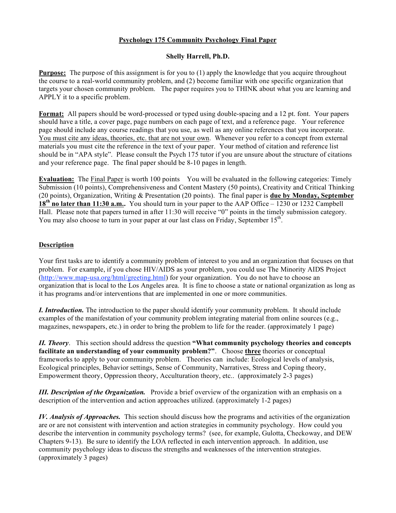## **Psychology 175 Community Psychology Final Paper**

## **Shelly Harrell, Ph.D.**

**Purpose:** The purpose of this assignment is for you to (1) apply the knowledge that you acquire throughout the course to a real-world community problem, and (2) become familiar with one specific organization that targets your chosen community problem. The paper requires you to THINK about what you are learning and APPLY it to a specific problem.

**Format:** All papers should be word-processed or typed using double-spacing and a 12 pt. font. Your papers should have a title, a cover page, page numbers on each page of text, and a reference page. Your reference page should include any course readings that you use, as well as any online references that you incorporate. You must cite any ideas, theories, etc. that are not your own. Whenever you refer to a concept from external materials you must cite the reference in the text of your paper. Your method of citation and reference list should be in "APA style". Please consult the Psych 175 tutor if you are unsure about the structure of citations and your reference page. The final paper should be 8-10 pages in length.

**Evaluation:** The Final Paper is worth 100 points You will be evaluated in the following categories: Timely Submission (10 points), Comprehensiveness and Content Mastery (50 points), Creativity and Critical Thinking (20 points), Organization, Writing & Presentation (20 points). The final paper is **due by Monday, September 18th no later than 11:30 a.m..** You should turn in your paper to the AAP Office – 1230 or 1232 Campbell Hall. Please note that papers turned in after 11:30 will receive "0" points in the timely submission category. You may also choose to turn in your paper at our last class on Friday, September  $15<sup>th</sup>$ .

## **Description**

Your first tasks are to identify a community problem of interest to you and an organization that focuses on that problem. For example, if you chose HIV/AIDS as your problem, you could use The Minority AIDS Project (http://www.map-usa.org/html/greeting.html) for your organization. You do not have to choose an organization that is local to the Los Angeles area. It is fine to choose a state or national organization as long as it has programs and/or interventions that are implemented in one or more communities.

*I. Introduction.* The introduction to the paper should identify your community problem. It should include examples of the manifestation of your community problem integrating material from online sources (e.g., magazines, newspapers, etc.) in order to bring the problem to life for the reader. (approximately 1 page)

*II. Theory*. This section should address the question **"What community psychology theories and concepts facilitate an understanding of your community problem?"**. Choose **three** theories or conceptual frameworks to apply to your community problem. Theories can include: Ecological levels of analysis, Ecological principles, Behavior settings, Sense of Community, Narratives, Stress and Coping theory, Empowerment theory, Oppression theory, Acculturation theory, etc.. (approximately 2-3 pages)

*III. Description of the Organization.* Provide a brief overview of the organization with an emphasis on a description of the intervention and action approaches utilized. (approximately 1-2 pages)

*IV. Analysis of Approaches.* This section should discuss how the programs and activities of the organization are or are not consistent with intervention and action strategies in community psychology. How could you describe the intervention in community psychology terms? (see, for example, Gulotta, Checkoway, and DEW Chapters 9-13). Be sure to identify the LOA reflected in each intervention approach. In addition, use community psychology ideas to discuss the strengths and weaknesses of the intervention strategies. (approximately 3 pages)